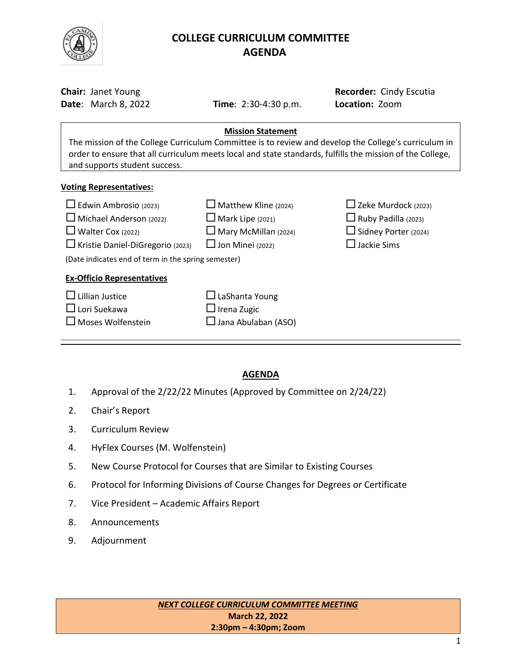

# **COLLEGE CURRICULUM COMMITTEE** **AGENDA**

| <b>Chair: Janet Young</b><br><b>Date: March 8, 2022</b>                                                                                                                                                                                                                        | <b>Time:</b> $2:30-4:30$ p.m.                                                                                    | Recorder: Cindy Escutia<br>Location: Zoom                                                                        |  |  |  |  |
|--------------------------------------------------------------------------------------------------------------------------------------------------------------------------------------------------------------------------------------------------------------------------------|------------------------------------------------------------------------------------------------------------------|------------------------------------------------------------------------------------------------------------------|--|--|--|--|
| <b>Mission Statement</b><br>The mission of the College Curriculum Committee is to review and develop the College's curriculum in<br>order to ensure that all curriculum meets local and state standards, fulfills the mission of the College,<br>and supports student success. |                                                                                                                  |                                                                                                                  |  |  |  |  |
| <b>Voting Representatives:</b>                                                                                                                                                                                                                                                 |                                                                                                                  |                                                                                                                  |  |  |  |  |
| $\Box$ Edwin Ambrosio (2023)<br>$\Box$ Michael Anderson (2022)<br>$\Box$ Walter Cox (2022)<br>Kristie Daniel-DiGregorio (2023)<br>(Date indicates end of term in the spring semester)                                                                                          | $\Box$ Matthew Kline (2024)<br>$\Box$ Mark Lipe (2021)<br>$\Box$ Mary McMillan (2024)<br>$\Box$ Jon Minei (2022) | $\Box$ Zeke Murdock (2023)<br>$\Box$ Ruby Padilla (2023)<br>$\Box$ Sidney Porter (2024)<br>$\square$ Jackie Sims |  |  |  |  |
| <b>Ex-Officio Representatives</b><br>$\Box$ Lillian Justice                                                                                                                                                                                                                    | $\Box$ LaShanta Young                                                                                            |                                                                                                                  |  |  |  |  |
| $\square$ Lori Suekawa<br>Moses Wolfenstein                                                                                                                                                                                                                                    | $\Box$ Irena Zugic<br>Jana Abulaban (ASO)                                                                        |                                                                                                                  |  |  |  |  |

# **AGENDA**

- 1. Approval of the 2/22/22 Minutes (Approved by Committee on 2/24/22)
- 2. Chair's Report
- 3. Curriculum Review
- 4. HyFlex Courses (M. Wolfenstein)
- 5. New Course Protocol for Courses that are Similar to Existing Courses
- 6. Protocol for Informing Divisions of Course Changes for Degrees or Certificate
- 7. Vice President Academic Affairs Report
- 8. Announcements
- 9. Adjournment

*NEXT COLLEGE CURRICULUM COMMITTEE MEETING* **March 22, 2022 2:30pm – 4:30pm; Zoom**